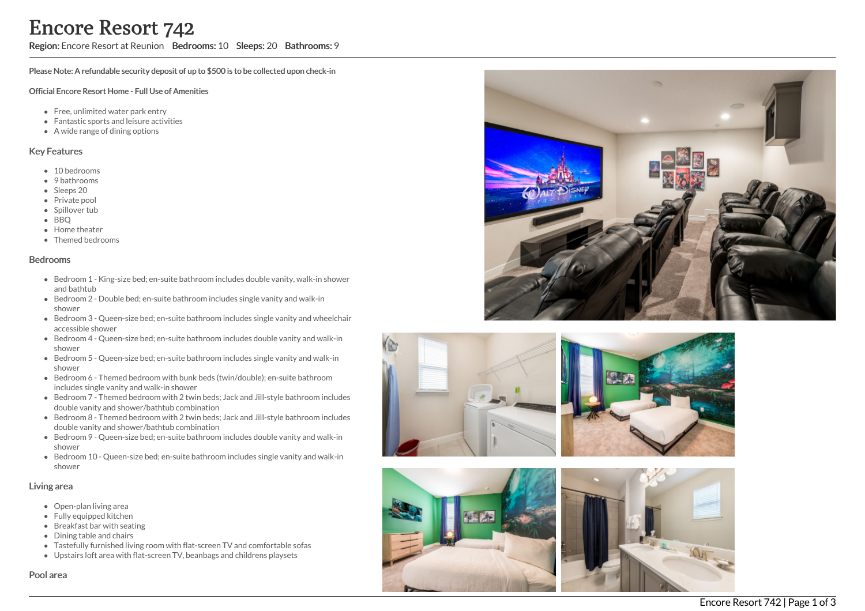Region: Encore Resort at Reunion Bedrooms: 10 Sleeps: 20 Bathrooms: 9

Please Note: A refundable security deposit of up to \$500 is to be collected upon check-in

#### Official Encore Resort Home - Full Use of Amenities

- Free, unlimited water park entry
- Fantastic sports and leisure activities
- A wide range of dining options

## Key Features

- 10 bedrooms
- 9 bathrooms
- Sleeps 20
- Private pool
- Spillover tub
- BBQ
- Home theate r
- T h e m e d b e d r o o m s

#### **Bedrooms**

- Bedroom 1 King-size bed; en-suite bathroom includes double vanity, walk-in shower and bathtub
- Bedroom 2 Double bed; en-suite bathroom includes single vanity and walk-in s h o w e r
- Bedroom 3 Queen-size bed; en-suite bathroom includes single vanity and wheelchair a c c e s sible s h o w e r
- Bedroom 4 Queen-size bed; en-suite bathroom includes double vanity and walk-in s h o w e r
- Bedroom 5 Queen-size bed; en-suite bathroom includes single vanity and walk-in s h o w e r
- Bedroom 6 Themed bedroom with bunk beds (twin/double); en-suite bathroom includes single vanity and walk-in shower
- Bedroom 7 Themed bedroom with 2 twin beds; Jack and Jill-style bathroom includes double vanity and shower/bathtub combination
- Bedroom 8 Themed bedroom with 2 twin beds; Jack and Jill-style bathroom includes double vanity and shower/bathtub combination
- Bedroom 9 Queen-size bed; en-suite bathroom includes double vanity and walk-in s h o w e r
- Bedroom 10 Queen-size bed; en-suite bathroom includes single vanity and walk-in s h o w e r

## Living area

- Open-plan living area
- Fully equipped kitchen
- Breakfast bar with seating
- Dining table and chairs
- Tastefully furnished living room with flat-screen TV and comfortable sofas
- Upstairs loft area with flat-screen TV, beanbags and childrens playsets







## Pool area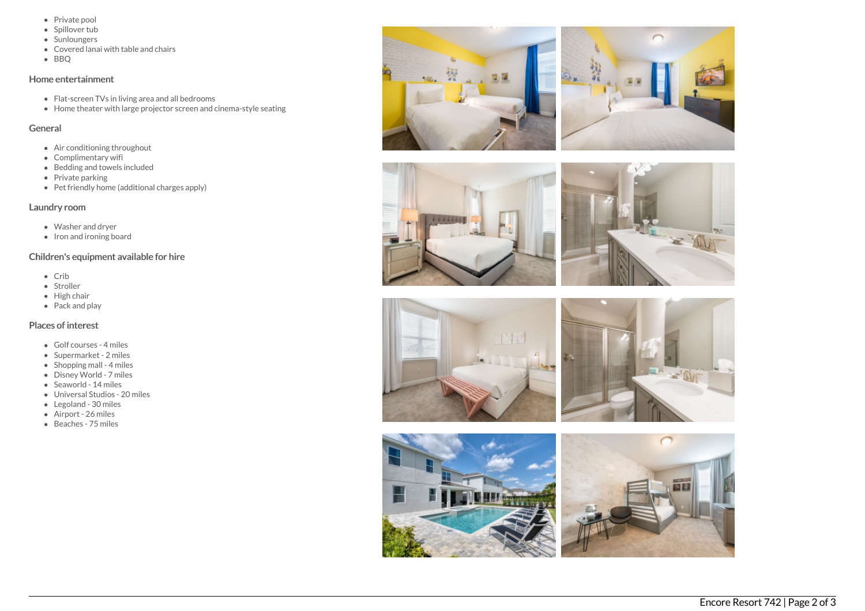- Private pool
- Spillover tub
- Sunloungers
- Covered lanai with table and chairs
- BBQ

## Home entertainment

- Flat-screen TVs in living area and all bedrooms
- Home theater with large projector screen and cinema-style seating

## General

- Air conditioning throughout
- Complimentary wifi
- Bedding and towels included
- $\bullet$  Private parking
- Pet friendly home (additional charges apply)

## Laundry room

- Washer and dryer
- $\bullet$  Iron and ironing board

# Children's equipment available for hire

- Crib
- Stroller
- High chair
- $\bullet$  Pack and play

# Places of interest

- Golf courses 4 miles
- Supermarket 2 miles
- Shopping mall 4 miles
- Disney World 7 miles
- Seaworld 14 miles
- Universal Studios 20 miles
- Legoland 30 miles
- Airport 26 miles
- Beaches 75 miles









![](_page_1_Picture_36.jpeg)

![](_page_1_Picture_37.jpeg)

![](_page_1_Picture_38.jpeg)